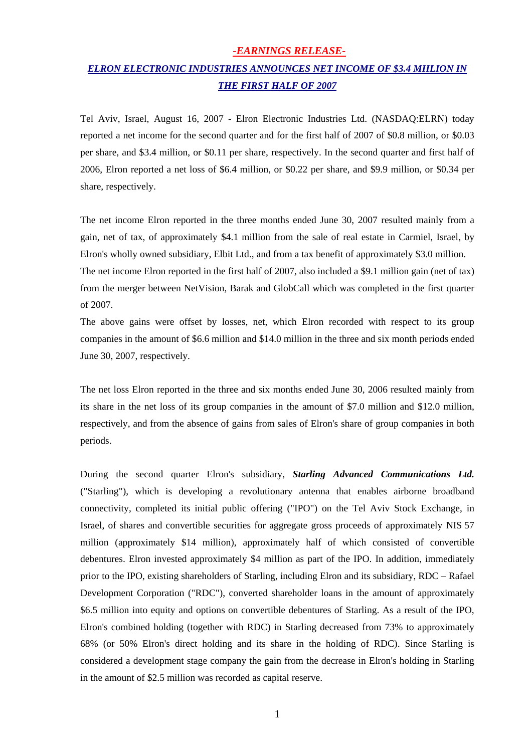### *-EARNINGS RELEASE-*

# *ELRON ELECTRONIC INDUSTRIES ANNOUNCES NET INCOME OF \$3.4 MIILION IN THE FIRST HALF OF 2007*

Tel Aviv, Israel, August 16, 2007 - Elron Electronic Industries Ltd. (NASDAQ:ELRN) today reported a net income for the second quarter and for the first half of 2007 of \$0.8 million, or \$0.03 per share, and \$3.4 million, or \$0.11 per share, respectively. In the second quarter and first half of 2006, Elron reported a net loss of \$6.4 million, or \$0.22 per share, and \$9.9 million, or \$0.34 per share, respectively.

The net income Elron reported in the three months ended June 30, 2007 resulted mainly from a gain, net of tax, of approximately \$4.1 million from the sale of real estate in Carmiel, Israel, by Elron's wholly owned subsidiary, Elbit Ltd., and from a tax benefit of approximately \$3.0 million. The net income Elron reported in the first half of 2007, also included a \$9.1 million gain (net of tax) from the merger between NetVision, Barak and GlobCall which was completed in the first quarter of 2007.

The above gains were offset by losses, net, which Elron recorded with respect to its group companies in the amount of \$6.6 million and \$14.0 million in the three and six month periods ended June 30, 2007, respectively.

The net loss Elron reported in the three and six months ended June 30, 2006 resulted mainly from its share in the net loss of its group companies in the amount of \$7.0 million and \$12.0 million, respectively, and from the absence of gains from sales of Elron's share of group companies in both periods.

During the second quarter Elron's subsidiary, *Starling Advanced Communications Ltd.* ("Starling"), which is developing a revolutionary antenna that enables airborne broadband connectivity, completed its initial public offering ("IPO") on the Tel Aviv Stock Exchange, in Israel, of shares and convertible securities for aggregate gross proceeds of approximately NIS 57 million (approximately \$14 million), approximately half of which consisted of convertible debentures. Elron invested approximately \$4 million as part of the IPO. In addition, immediately prior to the IPO, existing shareholders of Starling, including Elron and its subsidiary, RDC – Rafael Development Corporation ("RDC"), converted shareholder loans in the amount of approximately \$6.5 million into equity and options on convertible debentures of Starling. As a result of the IPO, Elron's combined holding (together with RDC) in Starling decreased from 73% to approximately 68% (or 50% Elron's direct holding and its share in the holding of RDC). Since Starling is considered a development stage company the gain from the decrease in Elron's holding in Starling in the amount of \$2.5 million was recorded as capital reserve.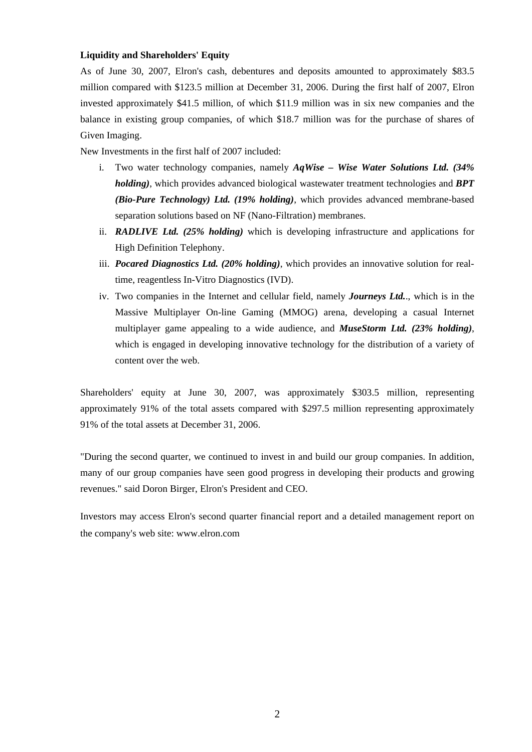### **Liquidity and Shareholders' Equity**

As of June 30, 2007, Elron's cash, debentures and deposits amounted to approximately \$83.5 million compared with \$123.5 million at December 31, 2006. During the first half of 2007, Elron invested approximately \$41.5 million, of which \$11.9 million was in six new companies and the balance in existing group companies, of which \$18.7 million was for the purchase of shares of Given Imaging.

New Investments in the first half of 2007 included:

- i. Two water technology companies, namely *AqWise Wise Water Solutions Ltd. (34% holding)*, which provides advanced biological wastewater treatment technologies and *BPT (Bio-Pure Technology) Ltd. (19% holding)*, which provides advanced membrane-based separation solutions based on NF (Nano-Filtration) membranes.
- ii. *RADLIVE Ltd. (25% holding)* which is developing infrastructure and applications for High Definition Telephony.
- iii. *Pocared Diagnostics Ltd. (20% holding)*, which provides an innovative solution for realtime, reagentless In-Vitro Diagnostics (IVD).
- iv. Two companies in the Internet and cellular field, namely *Journeys Ltd.*., which is in the Massive Multiplayer On-line Gaming (MMOG) arena, developing a casual Internet multiplayer game appealing to a wide audience, and *MuseStorm Ltd. (23% holding)*, which is engaged in developing innovative technology for the distribution of a variety of content over the web.

Shareholders' equity at June 30, 2007, was approximately \$303.5 million, representing approximately 91% of the total assets compared with \$297.5 million representing approximately 91% of the total assets at December 31, 2006.

"During the second quarter, we continued to invest in and build our group companies. In addition, many of our group companies have seen good progress in developing their products and growing revenues." said Doron Birger, Elron's President and CEO.

Investors may access Elron's second quarter financial report and a detailed management report on the company's web site: [www.elron.com](http://www.elron.com/)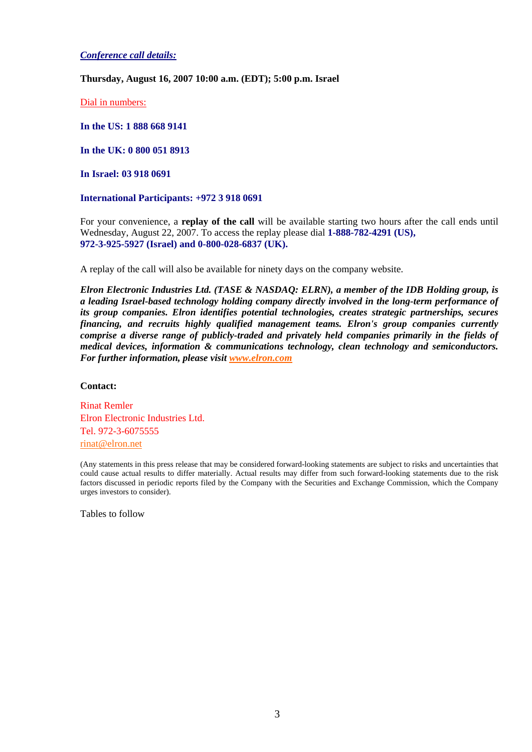*Conference call details:*

**Thursday, August 16, 2007 10:00 a.m. (EDT); 5:00 p.m. Israel** 

Dial in numbers:

**In the US: 1 888 668 9141** 

**In the UK: 0 800 051 8913** 

**In Israel: 03 918 0691**

**International Participants: +972 3 918 0691**

For your convenience, a **replay of the call** will be available starting two hours after the call ends until Wednesday, August 22, 2007. To access the replay please dial **1-888-782-4291 (US), 972-3-925-5927 (Israel) and 0-800-028-6837 (UK).**

A replay of the call will also be available for ninety days on the company website.

*Elron Electronic Industries Ltd. (TASE & NASDAQ: ELRN), a member of the IDB Holding group, is a leading Israel-based technology holding company directly involved in the long-term performance of its group companies. Elron identifies potential technologies, creates strategic partnerships, secures financing, and recruits highly qualified management teams. Elron's group companies currently comprise a diverse range of publicly-traded and privately held companies primarily in the fields of medical devices, information & communications technology, clean technology and semiconductors. For further information, please visit [www.elron.com](http://www.elron.com/)*

#### **Contact:**

Rinat Remler Elron Electronic Industries Ltd. Tel. 972-3-6075555 [rinat@elron.net](mailto:rinat@elron.net) 

(Any statements in this press release that may be considered forward-looking statements are subject to risks and uncertainties that could cause actual results to differ materially. Actual results may differ from such forward-looking statements due to the risk factors discussed in periodic reports filed by the Company with the Securities and Exchange Commission, which the Company urges investors to consider).

Tables to follow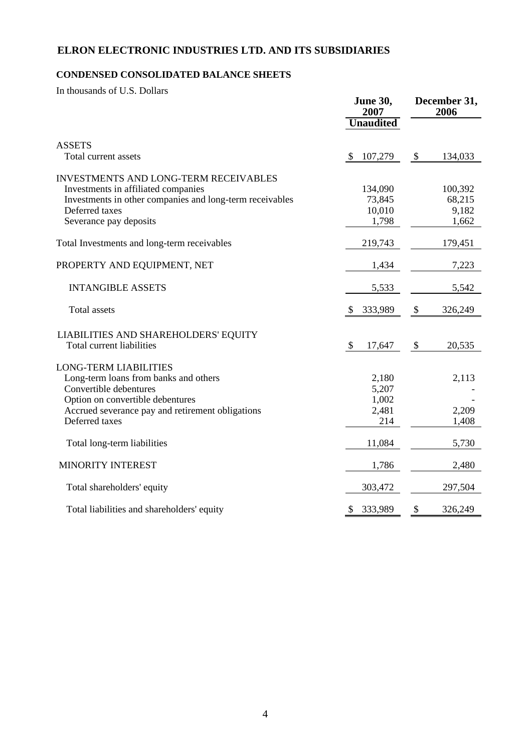## **ELRON ELECTRONIC INDUSTRIES LTD. AND ITS SUBSIDIARIES**

### **CONDENSED CONSOLIDATED BALANCE SHEETS**

In thousands of U.S. Dollars

|                                                                                                                                                                                                           | <b>June 30,</b><br>2007                 |               | December 31,<br>2006                |  |
|-----------------------------------------------------------------------------------------------------------------------------------------------------------------------------------------------------------|-----------------------------------------|---------------|-------------------------------------|--|
|                                                                                                                                                                                                           | <b>Unaudited</b>                        |               |                                     |  |
| <b>ASSETS</b><br>Total current assets                                                                                                                                                                     | 107,279<br>\$                           | $\frac{1}{2}$ | 134,033                             |  |
| <b>INVESTMENTS AND LONG-TERM RECEIVABLES</b><br>Investments in affiliated companies<br>Investments in other companies and long-term receivables<br>Deferred taxes<br>Severance pay deposits               | 134,090<br>73,845<br>10,010<br>1,798    |               | 100,392<br>68,215<br>9,182<br>1,662 |  |
| Total Investments and long-term receivables                                                                                                                                                               | 219,743                                 |               | 179,451                             |  |
| PROPERTY AND EQUIPMENT, NET                                                                                                                                                                               | 1,434                                   |               | 7,223                               |  |
| <b>INTANGIBLE ASSETS</b>                                                                                                                                                                                  | 5,533                                   |               | 5,542                               |  |
| <b>Total assets</b>                                                                                                                                                                                       | 333,989<br><sup>8</sup>                 | \$            | 326,249                             |  |
| LIABILITIES AND SHAREHOLDERS' EQUITY<br>Total current liabilities                                                                                                                                         | $\mathcal{S}$<br>17,647                 | \$            | 20,535                              |  |
| <b>LONG-TERM LIABILITIES</b><br>Long-term loans from banks and others<br>Convertible debentures<br>Option on convertible debentures<br>Accrued severance pay and retirement obligations<br>Deferred taxes | 2,180<br>5,207<br>1,002<br>2,481<br>214 |               | 2,113<br>2,209<br>1,408             |  |
| Total long-term liabilities                                                                                                                                                                               | 11,084                                  |               | 5,730                               |  |
| <b>MINORITY INTEREST</b>                                                                                                                                                                                  | 1,786                                   |               | 2,480                               |  |
| Total shareholders' equity                                                                                                                                                                                | 303,472                                 |               | 297,504                             |  |
| Total liabilities and shareholders' equity                                                                                                                                                                | 333,989<br>\$                           | \$            | 326,249                             |  |